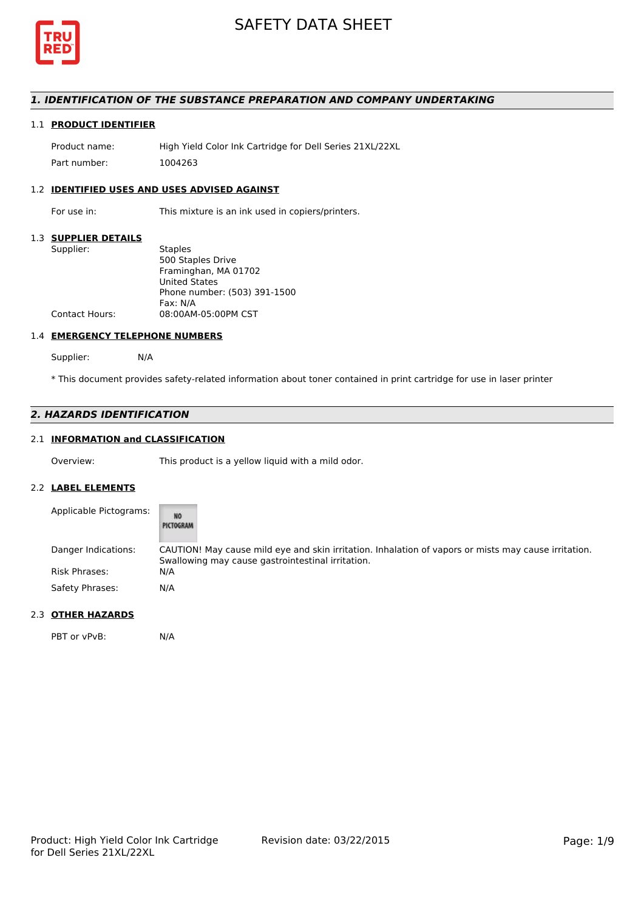

## *1. IDENTIFICATION OF THE SUBSTANCE PREPARATION AND COMPANY UNDERTAKING*

## 1.1 **PRODUCT IDENTIFIER**

Product name: High Yield Color Ink Cartridge for Dell Series 21XL/22XL Part number: 1004263

## 1.2 **IDENTIFIED USES AND USES ADVISED AGAINST**

For use in: This mixture is an ink used in copiers/printers.

#### 1.3 **SUPPLIER DETAILS**

| Supplier:             | <b>Staples</b>               |
|-----------------------|------------------------------|
|                       | 500 Staples Drive            |
|                       | Framinghan, MA 01702         |
|                       | <b>United States</b>         |
|                       | Phone number: (503) 391-1500 |
|                       | Fax: N/A                     |
| <b>Contact Hours:</b> | 08:00AM-05:00PM CST          |
|                       |                              |

#### 1.4 **EMERGENCY TELEPHONE NUMBERS**

Supplier: N/A

\* This document provides safety-related information about toner contained in print cartridge for use in laser printer

## *2. HAZARDS IDENTIFICATION*

## 2.1 **INFORMATION and CLASSIFICATION**

Overview: This product is a yellow liquid with a mild odor.

### 2.2 **LABEL ELEMENTS**

| Applicable Pictograms: | NO <sub>1</sub><br>PICTOGRAM                                                                                                                              |
|------------------------|-----------------------------------------------------------------------------------------------------------------------------------------------------------|
| Danger Indications:    | CAUTION! May cause mild eye and skin irritation. Inhalation of vapors or mists may cause irritation.<br>Swallowing may cause gastrointestinal irritation. |
| <b>Risk Phrases:</b>   | N/A                                                                                                                                                       |
| Safety Phrases:        | N/A                                                                                                                                                       |

## 2.3 **OTHER HAZARDS**

PBT or vPvB: N/A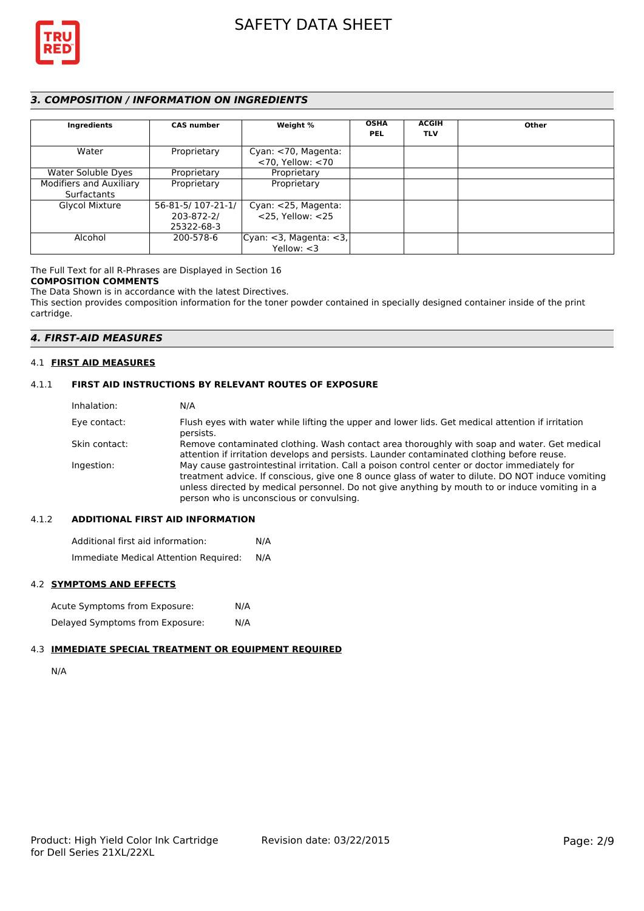

## *3. COMPOSITION / INFORMATION ON INGREDIENTS*

| Ingredients                            | <b>CAS number</b> | Weight %                                      | <b>OSHA</b><br><b>PEL</b> | <b>ACGIH</b><br><b>TLV</b> | Other |
|----------------------------------------|-------------------|-----------------------------------------------|---------------------------|----------------------------|-------|
| Water                                  | Proprietary       | Cyan: <70, Magenta:<br>$<$ 70, Yellow: $<$ 70 |                           |                            |       |
| Water Soluble Dyes                     | Proprietary       | Proprietary                                   |                           |                            |       |
| Modifiers and Auxiliary<br>Surfactants | Proprietary       | Proprietary                                   |                           |                            |       |
| <b>Glycol Mixture</b>                  | 56-81-5/107-21-1/ | Cyan: <25, Magenta:                           |                           |                            |       |
|                                        | 203-872-2/        | $<$ 25. Yellow: $<$ 25                        |                           |                            |       |
|                                        | 25322-68-3        |                                               |                           |                            |       |
| Alcohol                                | 200-578-6         | Cyan: <3, Magenta: <3,                        |                           |                            |       |
|                                        |                   | Yellow: $<$ 3                                 |                           |                            |       |

The Full Text for all R-Phrases are Displayed in Section 16

## **COMPOSITION COMMENTS**

The Data Shown is in accordance with the latest Directives. This section provides composition information for the toner powder contained in specially designed container inside of the print cartridge.

## *4. FIRST-AID MEASURES*

## 4.1 **FIRST AID MEASURES**

## 4.1.1 **FIRST AID INSTRUCTIONS BY RELEVANT ROUTES OF EXPOSURE**

| Inhalation:   | N/A                                                                                                                                                                                                                                                                                                                                              |
|---------------|--------------------------------------------------------------------------------------------------------------------------------------------------------------------------------------------------------------------------------------------------------------------------------------------------------------------------------------------------|
| Eye contact:  | Flush eyes with water while lifting the upper and lower lids. Get medical attention if irritation<br>persists.                                                                                                                                                                                                                                   |
| Skin contact: | Remove contaminated clothing. Wash contact area thoroughly with soap and water. Get medical<br>attention if irritation develops and persists. Launder contaminated clothing before reuse.                                                                                                                                                        |
| Ingestion:    | May cause gastrointestinal irritation. Call a poison control center or doctor immediately for<br>treatment advice. If conscious, give one 8 ounce glass of water to dilute. DO NOT induce vomiting<br>unless directed by medical personnel. Do not give anything by mouth to or induce vomiting in a<br>person who is unconscious or convulsing. |

## 4.1.2 **ADDITIONAL FIRST AID INFORMATION**

Additional first aid information: N/A Immediate Medical Attention Required: N/A

## 4.2 **SYMPTOMS AND EFFECTS**

| Acute Symptoms from Exposure:   | N/A |
|---------------------------------|-----|
| Delayed Symptoms from Exposure: | N/A |

## 4.3 **IMMEDIATE SPECIAL TREATMENT OR EQUIPMENT REQUIRED**

N/A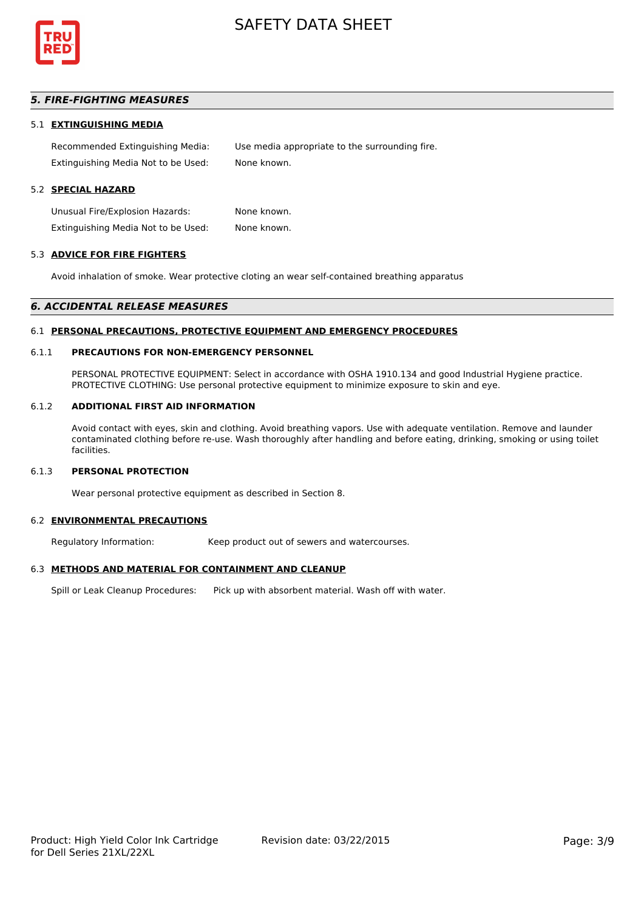

## *5. FIRE-FIGHTING MEASURES*

#### 5.1 **EXTINGUISHING MEDIA**

Recommended Extinguishing Media: Use media appropriate to the surrounding fire. Extinguishing Media Not to be Used: None known.

## 5.2 **SPECIAL HAZARD**

Unusual Fire/Explosion Hazards: None known. Extinguishing Media Not to be Used: None known.

#### 5.3 **ADVICE FOR FIRE FIGHTERS**

Avoid inhalation of smoke. Wear protective cloting an wear self-contained breathing apparatus

#### *6. ACCIDENTAL RELEASE MEASURES*

#### 6.1 **PERSONAL PRECAUTIONS, PROTECTIVE EQUIPMENT AND EMERGENCY PROCEDURES**

#### 6.1.1 **PRECAUTIONS FOR NON-EMERGENCY PERSONNEL**

PERSONAL PROTECTIVE EQUIPMENT: Select in accordance with OSHA 1910.134 and good Industrial Hygiene practice. PROTECTIVE CLOTHING: Use personal protective equipment to minimize exposure to skin and eye.

#### 6.1.2 **ADDITIONAL FIRST AID INFORMATION**

Avoid contact with eyes, skin and clothing. Avoid breathing vapors. Use with adequate ventilation. Remove and launder contaminated clothing before re-use. Wash thoroughly after handling and before eating, drinking, smoking or using toilet facilities.

## 6.1.3 **PERSONAL PROTECTION**

Wear personal protective equipment as described in Section 8.

#### 6.2 **ENVIRONMENTAL PRECAUTIONS**

Regulatory Information: Keep product out of sewers and watercourses.

#### 6.3 **METHODS AND MATERIAL FOR CONTAINMENT AND CLEANUP**

Spill or Leak Cleanup Procedures: Pick up with absorbent material. Wash off with water.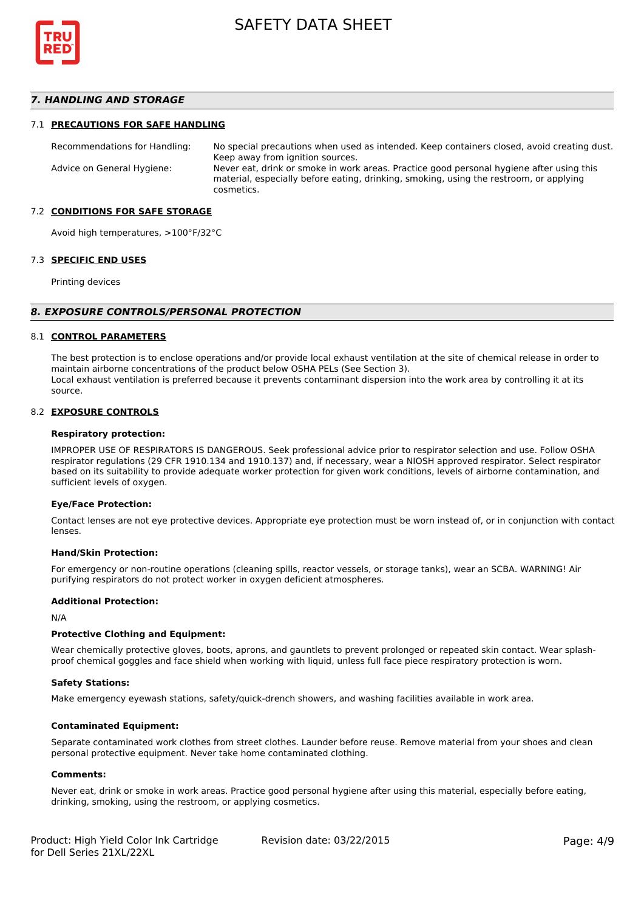

## *7. HANDLING AND STORAGE*

#### 7.1 **PRECAUTIONS FOR SAFE HANDLING**

Recommendations for Handling: No special precautions when used as intended. Keep containers closed, avoid creating dust. Keep away from ignition sources. Advice on General Hygiene: Never eat, drink or smoke in work areas. Practice good personal hygiene after using this material, especially before eating, drinking, smoking, using the restroom, or applying cosmetics.

#### 7.2 **CONDITIONS FOR SAFE STORAGE**

Avoid high temperatures, >100°F/32°C

#### 7.3 **SPECIFIC END USES**

Printing devices

#### *8. EXPOSURE CONTROLS/PERSONAL PROTECTION*

#### 8.1 **CONTROL PARAMETERS**

The best protection is to enclose operations and/or provide local exhaust ventilation at the site of chemical release in order to maintain airborne concentrations of the product below OSHA PELs (See Section 3). Local exhaust ventilation is preferred because it prevents contaminant dispersion into the work area by controlling it at its source.

#### 8.2 **EXPOSURE CONTROLS**

#### **Respiratory protection:**

IMPROPER USE OF RESPIRATORS IS DANGEROUS. Seek professional advice prior to respirator selection and use. Follow OSHA respirator regulations (29 CFR 1910.134 and 1910.137) and, if necessary, wear a NIOSH approved respirator. Select respirator based on its suitability to provide adequate worker protection for given work conditions, levels of airborne contamination, and sufficient levels of oxygen.

#### **Eye/Face Protection:**

Contact lenses are not eye protective devices. Appropriate eye protection must be worn instead of, or in conjunction with contact lenses.

#### **Hand/Skin Protection:**

For emergency or non-routine operations (cleaning spills, reactor vessels, or storage tanks), wear an SCBA. WARNING! Air purifying respirators do not protect worker in oxygen deficient atmospheres.

#### **Additional Protection:**

N/A

#### **Protective Clothing and Equipment:**

Wear chemically protective gloves, boots, aprons, and gauntlets to prevent prolonged or repeated skin contact. Wear splashproof chemical goggles and face shield when working with liquid, unless full face piece respiratory protection is worn.

#### **Safety Stations:**

Make emergency eyewash stations, safety/quick-drench showers, and washing facilities available in work area.

#### **Contaminated Equipment:**

Separate contaminated work clothes from street clothes. Launder before reuse. Remove material from your shoes and clean personal protective equipment. Never take home contaminated clothing.

#### **Comments:**

Never eat, drink or smoke in work areas. Practice good personal hygiene after using this material, especially before eating, drinking, smoking, using the restroom, or applying cosmetics.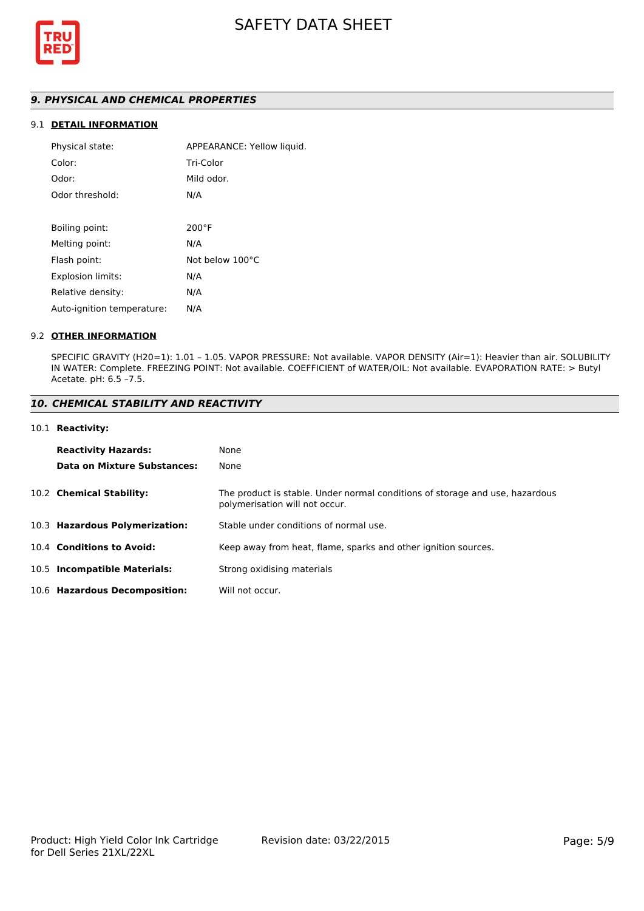

## *9. PHYSICAL AND CHEMICAL PROPERTIES*

## 9.1 **DETAIL INFORMATION**

| APPEARANCE: Yellow liquid. |
|----------------------------|
| Tri-Color                  |
| Mild odor.                 |
| N/A                        |
|                            |
| $200^{\circ}$ F            |
| N/A                        |
| Not below 100°C            |
| N/A                        |
| N/A                        |
| N/A                        |
|                            |

#### 9.2 **OTHER INFORMATION**

SPECIFIC GRAVITY (H20=1): 1.01 – 1.05. VAPOR PRESSURE: Not available. VAPOR DENSITY (Air=1): Heavier than air. SOLUBILITY IN WATER: Complete. FREEZING POINT: Not available. COEFFICIENT of WATER/OIL: Not available. EVAPORATION RATE: > Butyl Acetate. pH: 6.5 –7.5.

### *10. CHEMICAL STABILITY AND REACTIVITY*

#### 10.1 **Reactivity:**

| <b>Reactivity Hazards:</b>     | None                                                                                                           |
|--------------------------------|----------------------------------------------------------------------------------------------------------------|
| Data on Mixture Substances:    | None                                                                                                           |
| 10.2 Chemical Stability:       | The product is stable. Under normal conditions of storage and use, hazardous<br>polymerisation will not occur. |
| 10.3 Hazardous Polymerization: | Stable under conditions of normal use.                                                                         |
| 10.4 Conditions to Avoid:      | Keep away from heat, flame, sparks and other ignition sources.                                                 |
| 10.5 Incompatible Materials:   | Strong oxidising materials                                                                                     |
| 10.6 Hazardous Decomposition:  | Will not occur.                                                                                                |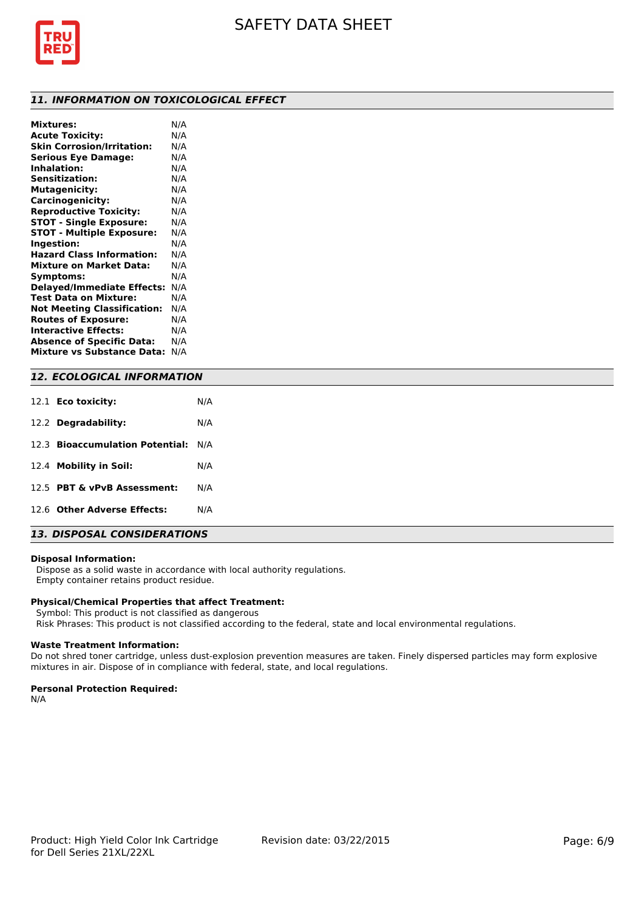

### *11. INFORMATION ON TOXICOLOGICAL EFFECT*

| <b>Mixtures:</b>                   | N/A |
|------------------------------------|-----|
| <b>Acute Toxicity:</b>             | N/A |
| <b>Skin Corrosion/Irritation:</b>  | N/A |
| <b>Serious Eye Damage:</b>         | N/A |
| <b>Inhalation:</b>                 | N/A |
| <b>Sensitization:</b>              | N/A |
| <b>Mutagenicity:</b>               | N/A |
| Carcinogenicity:                   | N/A |
| <b>Reproductive Toxicity:</b>      | N/A |
| <b>STOT - Single Exposure:</b>     | N/A |
| <b>STOT - Multiple Exposure:</b>   | N/A |
| Ingestion:                         | N/A |
| <b>Hazard Class Information:</b>   | N/A |
| <b>Mixture on Market Data:</b>     | N/A |
| Symptoms:                          | N/A |
| <b>Delayed/Immediate Effects:</b>  | N/A |
| Test Data on Mixture:              | N/A |
| <b>Not Meeting Classification:</b> | N/A |
| <b>Routes of Exposure:</b>         | N/A |
| <b>Interactive Effects:</b>        | N/A |
| <b>Absence of Specific Data:</b>   | N/A |
| <b>Mixture vs Substance Data:</b>  | N/A |
|                                    |     |

## *12. ECOLOGICAL INFORMATION*

| 12.1 <b>Eco toxicity:</b>           | N/A |
|-------------------------------------|-----|
| 12.2 Degradability:                 | N/A |
| 12.3 Bioaccumulation Potential: N/A |     |
| 12.4 Mobility in Soil:              | N/A |
| 12.5 PBT & vPvB Assessment:         | N/A |
| 12.6 Other Adverse Effects:         | N/A |

## *13. DISPOSAL CONSIDERATIONS*

#### **Disposal Information:**

 Dispose as a solid waste in accordance with local authority regulations. Empty container retains product residue.

#### **Physical/Chemical Properties that affect Treatment:**

Symbol: This product is not classified as dangerous

Risk Phrases: This product is not classified according to the federal, state and local environmental regulations.

#### **Waste Treatment Information:**

Do not shred toner cartridge, unless dust-explosion prevention measures are taken. Finely dispersed particles may form explosive mixtures in air. Dispose of in compliance with federal, state, and local regulations.

#### **Personal Protection Required:**

N/A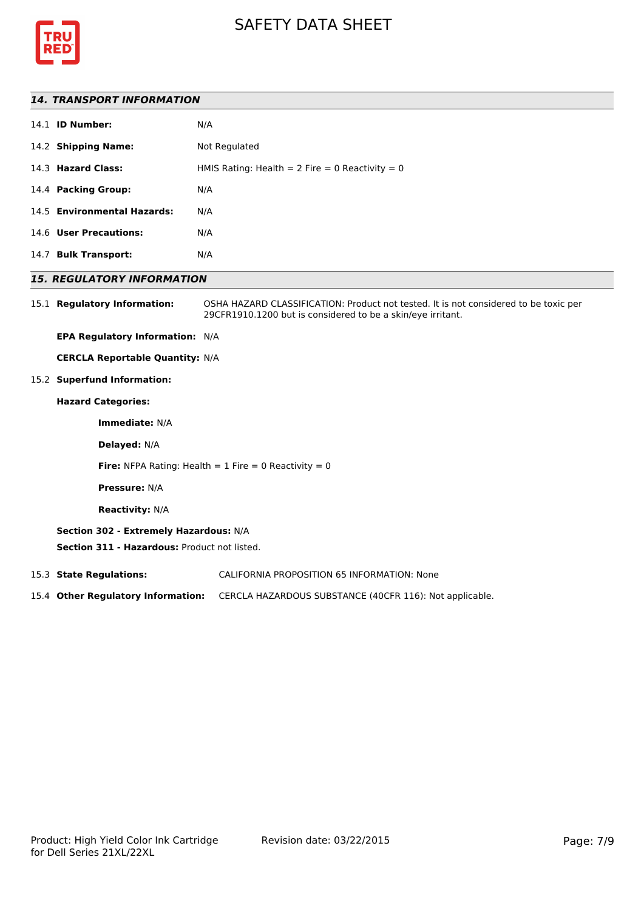



#### *14. TRANSPORT INFORMATION*

|      | 14.1 <b>ID Number:</b>      | N/A                                               |
|------|-----------------------------|---------------------------------------------------|
|      | 14.2 Shipping Name:         | Not Regulated                                     |
|      | 14.3 Hazard Class:          | HMIS Rating: Health = $2$ Fire = 0 Reactivity = 0 |
|      | 14.4 Packing Group:         | N/A                                               |
|      | 14.5 Environmental Hazards: | N/A                                               |
|      | 14.6 User Precautions:      | N/A                                               |
| 14.7 | <b>Bulk Transport:</b>      | N/A                                               |
|      |                             |                                                   |

### *15. REGULATORY INFORMATION*

15.1 **Regulatory Information:** OSHA HAZARD CLASSIFICATION: Product not tested. It is not considered to be toxic per 29CFR1910.1200 but is considered to be a skin/eye irritant.

**EPA Regulatory Information:** N/A

**CERCLA Reportable Quantity:** N/A

15.2 **Superfund Information:**

## **Hazard Categories:**

**Immediate:** N/A

**Delayed:** N/A

**Fire:** NFPA Rating: Health  $= 1$  Fire  $= 0$  Reactivity  $= 0$ 

**Pressure:** N/A

**Reactivity:** N/A

#### **Section 302 - Extremely Hazardous:** N/A

**Section 311 - Hazardous:** Product not listed.

15.3 **State Regulations:** CALIFORNIA PROPOSITION 65 INFORMATION: None

15.4 **Other Regulatory Information:** CERCLA HAZARDOUS SUBSTANCE (40CFR 116): Not applicable.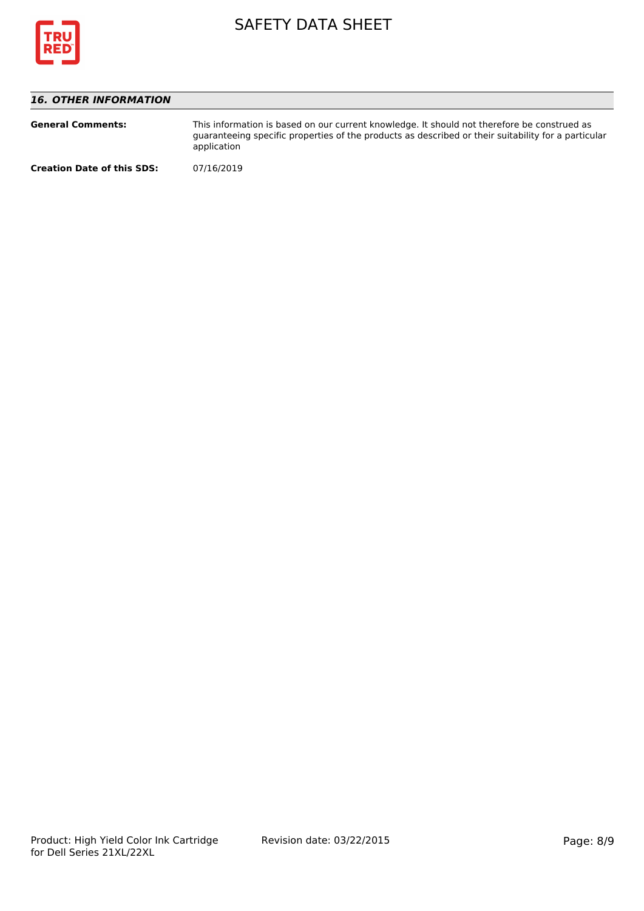

## *16. OTHER INFORMATION*

| <b>General Comments:</b>          | This information is based on our current knowledge. It should not therefore be construed as<br>guaranteeing specific properties of the products as described or their suitability for a particular<br>application |
|-----------------------------------|-------------------------------------------------------------------------------------------------------------------------------------------------------------------------------------------------------------------|
| <b>Creation Date of this SDS:</b> | 07/16/2019                                                                                                                                                                                                        |